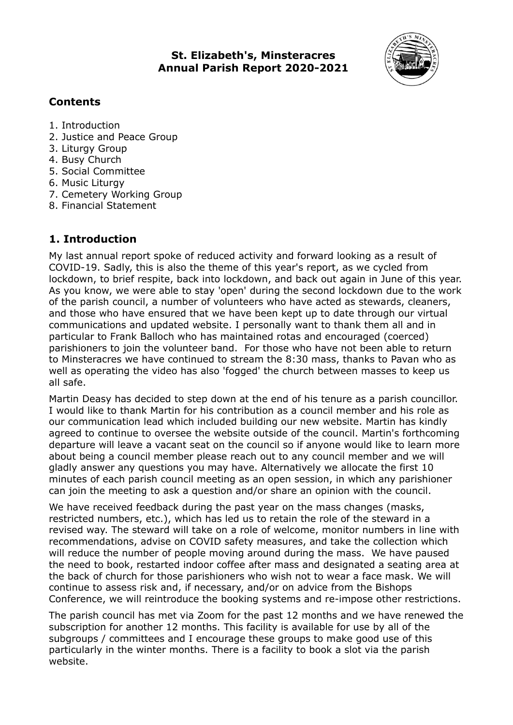**St. Elizabeth's, Minsteracres Annual Parish Report 2020-2021**



## **Contents**

- 1. Introduction
- 2. Justice and Peace Group
- 3. Liturgy Group
- 4. Busy Church
- 5. Social Committee
- 6. Music Liturgy
- 7. Cemetery Working Group
- 8. Financial Statement

# **1. Introduction**

My last annual report spoke of reduced activity and forward looking as a result of COVID-19. Sadly, this is also the theme of this year's report, as we cycled from lockdown, to brief respite, back into lockdown, and back out again in June of this year. As you know, we were able to stay 'open' during the second lockdown due to the work of the parish council, a number of volunteers who have acted as stewards, cleaners, and those who have ensured that we have been kept up to date through our virtual communications and updated website. I personally want to thank them all and in particular to Frank Balloch who has maintained rotas and encouraged (coerced) parishioners to join the volunteer band. For those who have not been able to return to Minsteracres we have continued to stream the 8:30 mass, thanks to Pavan who as well as operating the video has also 'fogged' the church between masses to keep us all safe.

Martin Deasy has decided to step down at the end of his tenure as a parish councillor. I would like to thank Martin for his contribution as a council member and his role as our communication lead which included building our new website. Martin has kindly agreed to continue to oversee the website outside of the council. Martin's forthcoming departure will leave a vacant seat on the council so if anyone would like to learn more about being a council member please reach out to any council member and we will gladly answer any questions you may have. Alternatively we allocate the first 10 minutes of each parish council meeting as an open session, in which any parishioner can join the meeting to ask a question and/or share an opinion with the council.

We have received feedback during the past year on the mass changes (masks, restricted numbers, etc.), which has led us to retain the role of the steward in a revised way. The steward will take on a role of welcome, monitor numbers in line with recommendations, advise on COVID safety measures, and take the collection which will reduce the number of people moving around during the mass. We have paused the need to book, restarted indoor coffee after mass and designated a seating area at the back of church for those parishioners who wish not to wear a face mask. We will continue to assess risk and, if necessary, and/or on advice from the Bishops Conference, we will reintroduce the booking systems and re-impose other restrictions.

The parish council has met via Zoom for the past 12 months and we have renewed the subscription for another 12 months. This facility is available for use by all of the subgroups / committees and I encourage these groups to make good use of this particularly in the winter months. There is a facility to book a slot via the parish website.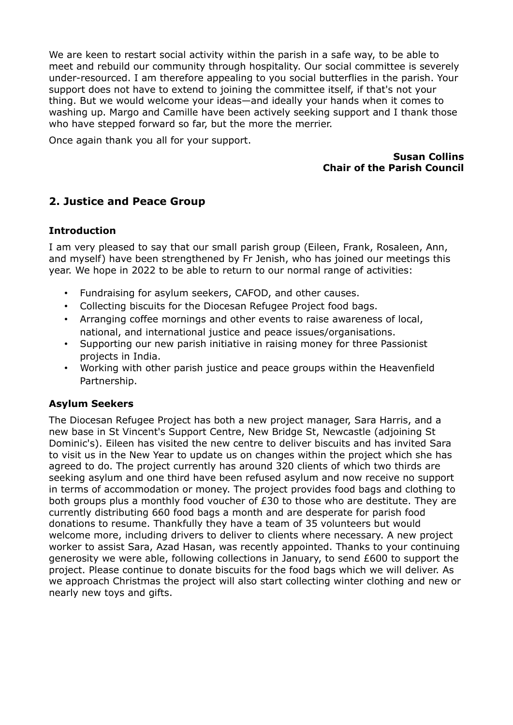We are keen to restart social activity within the parish in a safe way, to be able to meet and rebuild our community through hospitality. Our social committee is severely under-resourced. I am therefore appealing to you social butterflies in the parish. Your support does not have to extend to joining the committee itself, if that's not your thing. But we would welcome your ideas—and ideally your hands when it comes to washing up. Margo and Camille have been actively seeking support and I thank those who have stepped forward so far, but the more the merrier.

Once again thank you all for your support.

#### **Susan Collins Chair of the Parish Council**

# **2. Justice and Peace Group**

#### **Introduction**

I am very pleased to say that our small parish group (Eileen, Frank, Rosaleen, Ann, and myself) have been strengthened by Fr Jenish, who has joined our meetings this year. We hope in 2022 to be able to return to our normal range of activities:

- Fundraising for asylum seekers, CAFOD, and other causes.
- Collecting biscuits for the Diocesan Refugee Project food bags.
- Arranging coffee mornings and other events to raise awareness of local, national, and international justice and peace issues/organisations.
- Supporting our new parish initiative in raising money for three Passionist projects in India.
- Working with other parish justice and peace groups within the Heavenfield Partnership.

#### **Asylum Seekers**

The Diocesan Refugee Project has both a new project manager, Sara Harris, and a new base in St Vincent's Support Centre, New Bridge St, Newcastle (adjoining St Dominic's). Eileen has visited the new centre to deliver biscuits and has invited Sara to visit us in the New Year to update us on changes within the project which she has agreed to do. The project currently has around 320 clients of which two thirds are seeking asylum and one third have been refused asylum and now receive no support in terms of accommodation or money. The project provides food bags and clothing to both groups plus a monthly food voucher of £30 to those who are destitute. They are currently distributing 660 food bags a month and are desperate for parish food donations to resume. Thankfully they have a team of 35 volunteers but would welcome more, including drivers to deliver to clients where necessary. A new project worker to assist Sara, Azad Hasan, was recently appointed. Thanks to your continuing generosity we were able, following collections in January, to send £600 to support the project. Please continue to donate biscuits for the food bags which we will deliver. As we approach Christmas the project will also start collecting winter clothing and new or nearly new toys and gifts.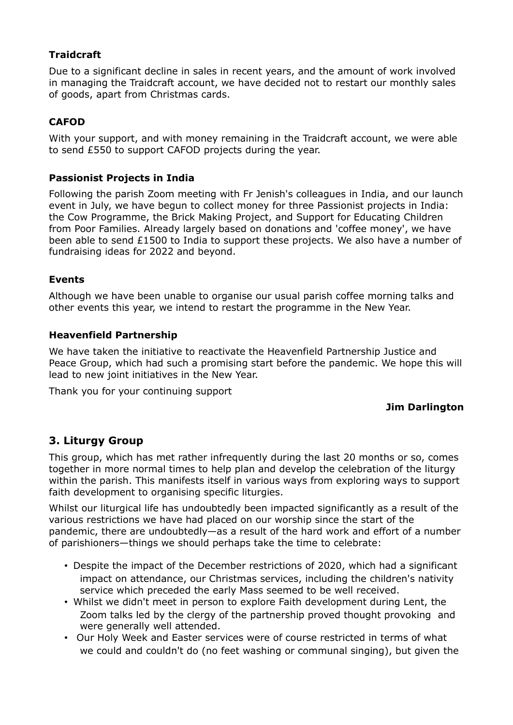## **Traidcraft**

Due to a significant decline in sales in recent years, and the amount of work involved in managing the Traidcraft account, we have decided not to restart our monthly sales of goods, apart from Christmas cards.

# **CAFOD**

With your support, and with money remaining in the Traidcraft account, we were able to send £550 to support CAFOD projects during the year.

## **Passionist Projects in India**

Following the parish Zoom meeting with Fr Jenish's colleagues in India, and our launch event in July, we have begun to collect money for three Passionist projects in India: the Cow Programme, the Brick Making Project, and Support for Educating Children from Poor Families. Already largely based on donations and 'coffee money', we have been able to send £1500 to India to support these projects. We also have a number of fundraising ideas for 2022 and beyond.

## **Events**

Although we have been unable to organise our usual parish coffee morning talks and other events this year, we intend to restart the programme in the New Year.

### **Heavenfield Partnership**

We have taken the initiative to reactivate the Heavenfield Partnership Justice and Peace Group, which had such a promising start before the pandemic. We hope this will lead to new joint initiatives in the New Year.

Thank you for your continuing support

## **Jim Darlington**

# **3. Liturgy Group**

This group, which has met rather infrequently during the last 20 months or so, comes together in more normal times to help plan and develop the celebration of the liturgy within the parish. This manifests itself in various ways from exploring ways to support faith development to organising specific liturgies.

Whilst our liturgical life has undoubtedly been impacted significantly as a result of the various restrictions we have had placed on our worship since the start of the pandemic, there are undoubtedly—as a result of the hard work and effort of a number of parishioners—things we should perhaps take the time to celebrate:

- Despite the impact of the December restrictions of 2020, which had a significant impact on attendance, our Christmas services, including the children's nativity service which preceded the early Mass seemed to be well received.
- Whilst we didn't meet in person to explore Faith development during Lent, the Zoom talks led by the clergy of the partnership proved thought provoking and were generally well attended.
- Our Holy Week and Easter services were of course restricted in terms of what we could and couldn't do (no feet washing or communal singing), but given the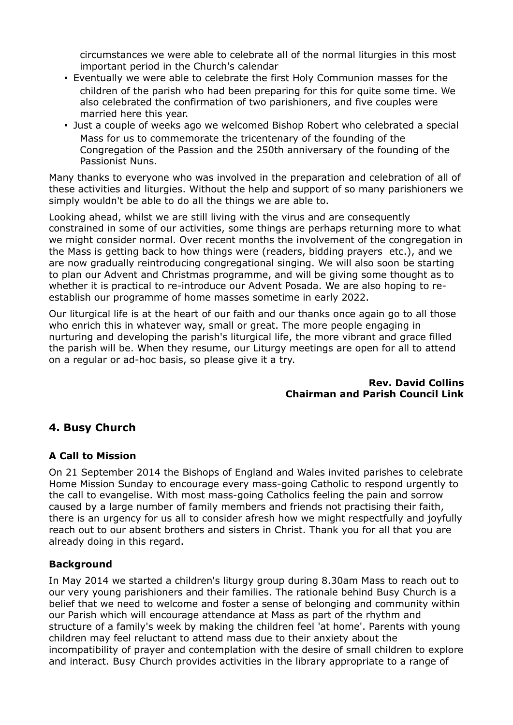circumstances we were able to celebrate all of the normal liturgies in this most important period in the Church's calendar

- Eventually we were able to celebrate the first Holy Communion masses for the children of the parish who had been preparing for this for quite some time. We also celebrated the confirmation of two parishioners, and five couples were married here this year.
- Just a couple of weeks ago we welcomed Bishop Robert who celebrated a special Mass for us to commemorate the tricentenary of the founding of the Congregation of the Passion and the 250th anniversary of the founding of the Passionist Nuns.

Many thanks to everyone who was involved in the preparation and celebration of all of these activities and liturgies. Without the help and support of so many parishioners we simply wouldn't be able to do all the things we are able to.

Looking ahead, whilst we are still living with the virus and are consequently constrained in some of our activities, some things are perhaps returning more to what we might consider normal. Over recent months the involvement of the congregation in the Mass is getting back to how things were (readers, bidding prayers etc.), and we are now gradually reintroducing congregational singing. We will also soon be starting to plan our Advent and Christmas programme, and will be giving some thought as to whether it is practical to re-introduce our Advent Posada. We are also hoping to reestablish our programme of home masses sometime in early 2022.

Our liturgical life is at the heart of our faith and our thanks once again go to all those who enrich this in whatever way, small or great. The more people engaging in nurturing and developing the parish's liturgical life, the more vibrant and grace filled the parish will be. When they resume, our Liturgy meetings are open for all to attend on a regular or ad-hoc basis, so please give it a try.

#### **Rev. David Collins Chairman and Parish Council Link**

# **4. Busy Church**

## **A Call to Mission**

On 21 September 2014 the Bishops of England and Wales invited parishes to celebrate Home Mission Sunday to encourage every mass-going Catholic to respond urgently to the call to evangelise. With most mass-going Catholics feeling the pain and sorrow caused by a large number of family members and friends not practising their faith, there is an urgency for us all to consider afresh how we might respectfully and joyfully reach out to our absent brothers and sisters in Christ. Thank you for all that you are already doing in this regard.

## **Background**

In May 2014 we started a children's liturgy group during 8.30am Mass to reach out to our very young parishioners and their families. The rationale behind Busy Church is a belief that we need to welcome and foster a sense of belonging and community within our Parish which will encourage attendance at Mass as part of the rhythm and structure of a family's week by making the children feel 'at home'. Parents with young children may feel reluctant to attend mass due to their anxiety about the incompatibility of prayer and contemplation with the desire of small children to explore and interact. Busy Church provides activities in the library appropriate to a range of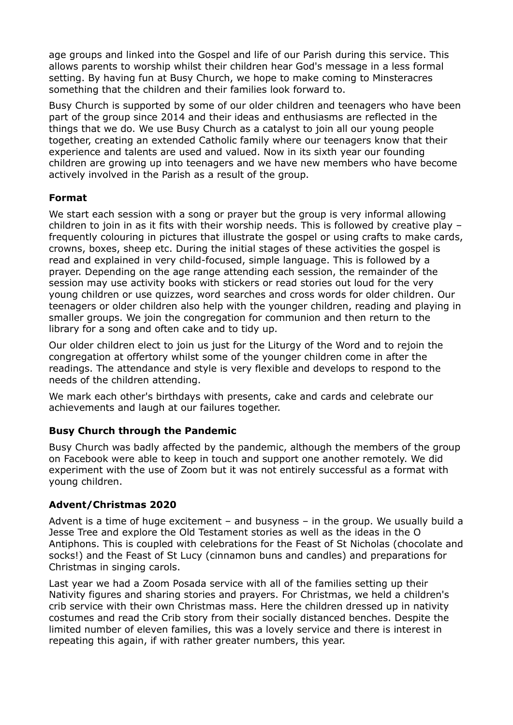age groups and linked into the Gospel and life of our Parish during this service. This allows parents to worship whilst their children hear God's message in a less formal setting. By having fun at Busy Church, we hope to make coming to Minsteracres something that the children and their families look forward to.

Busy Church is supported by some of our older children and teenagers who have been part of the group since 2014 and their ideas and enthusiasms are reflected in the things that we do. We use Busy Church as a catalyst to join all our young people together, creating an extended Catholic family where our teenagers know that their experience and talents are used and valued. Now in its sixth year our founding children are growing up into teenagers and we have new members who have become actively involved in the Parish as a result of the group.

#### **Format**

We start each session with a song or prayer but the group is very informal allowing children to join in as it fits with their worship needs. This is followed by creative play – frequently colouring in pictures that illustrate the gospel or using crafts to make cards, crowns, boxes, sheep etc. During the initial stages of these activities the gospel is read and explained in very child-focused, simple language. This is followed by a prayer. Depending on the age range attending each session, the remainder of the session may use activity books with stickers or read stories out loud for the very young children or use quizzes, word searches and cross words for older children. Our teenagers or older children also help with the younger children, reading and playing in smaller groups. We join the congregation for communion and then return to the library for a song and often cake and to tidy up.

Our older children elect to join us just for the Liturgy of the Word and to rejoin the congregation at offertory whilst some of the younger children come in after the readings. The attendance and style is very flexible and develops to respond to the needs of the children attending.

We mark each other's birthdays with presents, cake and cards and celebrate our achievements and laugh at our failures together.

## **Busy Church through the Pandemic**

Busy Church was badly affected by the pandemic, although the members of the group on Facebook were able to keep in touch and support one another remotely. We did experiment with the use of Zoom but it was not entirely successful as a format with young children.

#### **Advent/Christmas 2020**

Advent is a time of huge excitement – and busyness – in the group. We usually build a Jesse Tree and explore the Old Testament stories as well as the ideas in the O Antiphons. This is coupled with celebrations for the Feast of St Nicholas (chocolate and socks!) and the Feast of St Lucy (cinnamon buns and candles) and preparations for Christmas in singing carols.

Last year we had a Zoom Posada service with all of the families setting up their Nativity figures and sharing stories and prayers. For Christmas, we held a children's crib service with their own Christmas mass. Here the children dressed up in nativity costumes and read the Crib story from their socially distanced benches. Despite the limited number of eleven families, this was a lovely service and there is interest in repeating this again, if with rather greater numbers, this year.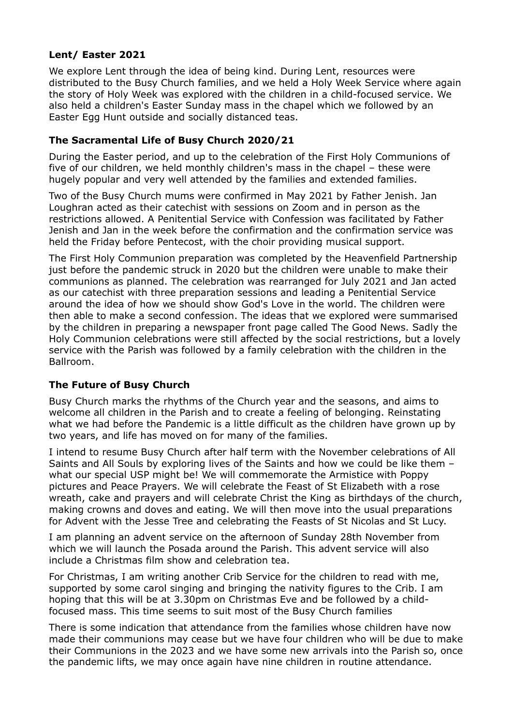#### **Lent/ Easter 2021**

We explore Lent through the idea of being kind. During Lent, resources were distributed to the Busy Church families, and we held a Holy Week Service where again the story of Holy Week was explored with the children in a child-focused service. We also held a children's Easter Sunday mass in the chapel which we followed by an Easter Egg Hunt outside and socially distanced teas.

### **The Sacramental Life of Busy Church 2020/21**

During the Easter period, and up to the celebration of the First Holy Communions of five of our children, we held monthly children's mass in the chapel – these were hugely popular and very well attended by the families and extended families.

Two of the Busy Church mums were confirmed in May 2021 by Father Jenish. Jan Loughran acted as their catechist with sessions on Zoom and in person as the restrictions allowed. A Penitential Service with Confession was facilitated by Father Jenish and Jan in the week before the confirmation and the confirmation service was held the Friday before Pentecost, with the choir providing musical support.

The First Holy Communion preparation was completed by the Heavenfield Partnership just before the pandemic struck in 2020 but the children were unable to make their communions as planned. The celebration was rearranged for July 2021 and Jan acted as our catechist with three preparation sessions and leading a Penitential Service around the idea of how we should show God's Love in the world. The children were then able to make a second confession. The ideas that we explored were summarised by the children in preparing a newspaper front page called The Good News. Sadly the Holy Communion celebrations were still affected by the social restrictions, but a lovely service with the Parish was followed by a family celebration with the children in the Ballroom.

## **The Future of Busy Church**

Busy Church marks the rhythms of the Church year and the seasons, and aims to welcome all children in the Parish and to create a feeling of belonging. Reinstating what we had before the Pandemic is a little difficult as the children have grown up by two years, and life has moved on for many of the families.

I intend to resume Busy Church after half term with the November celebrations of All Saints and All Souls by exploring lives of the Saints and how we could be like them – what our special USP might be! We will commemorate the Armistice with Poppy pictures and Peace Prayers. We will celebrate the Feast of St Elizabeth with a rose wreath, cake and prayers and will celebrate Christ the King as birthdays of the church, making crowns and doves and eating. We will then move into the usual preparations for Advent with the Jesse Tree and celebrating the Feasts of St Nicolas and St Lucy.

I am planning an advent service on the afternoon of Sunday 28th November from which we will launch the Posada around the Parish. This advent service will also include a Christmas film show and celebration tea.

For Christmas, I am writing another Crib Service for the children to read with me, supported by some carol singing and bringing the nativity figures to the Crib. I am hoping that this will be at 3.30pm on Christmas Eve and be followed by a childfocused mass. This time seems to suit most of the Busy Church families

There is some indication that attendance from the families whose children have now made their communions may cease but we have four children who will be due to make their Communions in the 2023 and we have some new arrivals into the Parish so, once the pandemic lifts, we may once again have nine children in routine attendance.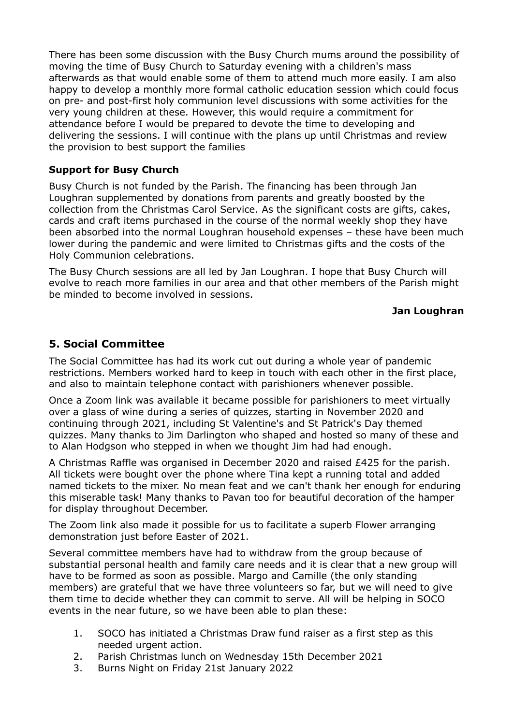There has been some discussion with the Busy Church mums around the possibility of moving the time of Busy Church to Saturday evening with a children's mass afterwards as that would enable some of them to attend much more easily. I am also happy to develop a monthly more formal catholic education session which could focus on pre- and post-first holy communion level discussions with some activities for the very young children at these. However, this would require a commitment for attendance before I would be prepared to devote the time to developing and delivering the sessions. I will continue with the plans up until Christmas and review the provision to best support the families

#### **Support for Busy Church**

Busy Church is not funded by the Parish. The financing has been through Jan Loughran supplemented by donations from parents and greatly boosted by the collection from the Christmas Carol Service. As the significant costs are gifts, cakes, cards and craft items purchased in the course of the normal weekly shop they have been absorbed into the normal Loughran household expenses – these have been much lower during the pandemic and were limited to Christmas gifts and the costs of the Holy Communion celebrations.

The Busy Church sessions are all led by Jan Loughran. I hope that Busy Church will evolve to reach more families in our area and that other members of the Parish might be minded to become involved in sessions.

### **Jan Loughran**

## **5. Social Committee**

The Social Committee has had its work cut out during a whole year of pandemic restrictions. Members worked hard to keep in touch with each other in the first place, and also to maintain telephone contact with parishioners whenever possible.

Once a Zoom link was available it became possible for parishioners to meet virtually over a glass of wine during a series of quizzes, starting in November 2020 and continuing through 2021, including St Valentine's and St Patrick's Day themed quizzes. Many thanks to Jim Darlington who shaped and hosted so many of these and to Alan Hodgson who stepped in when we thought Jim had had enough.

A Christmas Raffle was organised in December 2020 and raised £425 for the parish. All tickets were bought over the phone where Tina kept a running total and added named tickets to the mixer. No mean feat and we can't thank her enough for enduring this miserable task! Many thanks to Pavan too for beautiful decoration of the hamper for display throughout December.

The Zoom link also made it possible for us to facilitate a superb Flower arranging demonstration just before Easter of 2021.

Several committee members have had to withdraw from the group because of substantial personal health and family care needs and it is clear that a new group will have to be formed as soon as possible. Margo and Camille (the only standing members) are grateful that we have three volunteers so far, but we will need to give them time to decide whether they can commit to serve. All will be helping in SOCO events in the near future, so we have been able to plan these:

- 1. SOCO has initiated a Christmas Draw fund raiser as a first step as this needed urgent action.
- 2. Parish Christmas lunch on Wednesday 15th December 2021
- 3. Burns Night on Friday 21st January 2022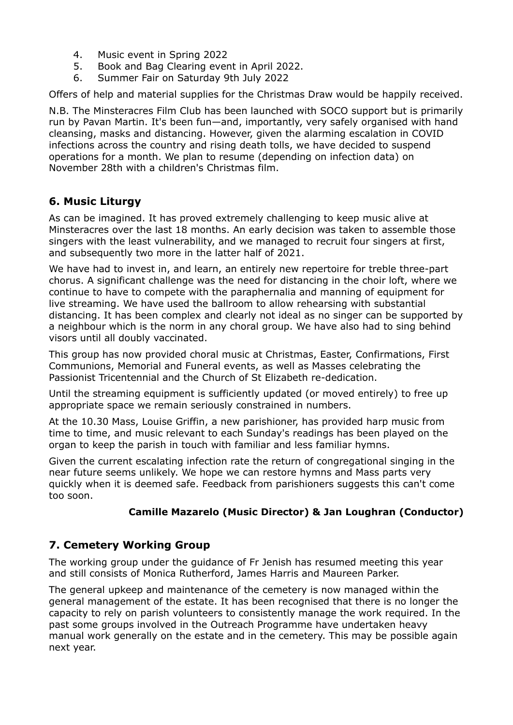- 4. Music event in Spring 2022
- 5. Book and Bag Clearing event in April 2022.
- 6. Summer Fair on Saturday 9th July 2022

Offers of help and material supplies for the Christmas Draw would be happily received.

N.B. The Minsteracres Film Club has been launched with SOCO support but is primarily run by Pavan Martin. It's been fun—and, importantly, very safely organised with hand cleansing, masks and distancing. However, given the alarming escalation in COVID infections across the country and rising death tolls, we have decided to suspend operations for a month. We plan to resume (depending on infection data) on November 28th with a children's Christmas film.

# **6. Music Liturgy**

As can be imagined. It has proved extremely challenging to keep music alive at Minsteracres over the last 18 months. An early decision was taken to assemble those singers with the least vulnerability, and we managed to recruit four singers at first, and subsequently two more in the latter half of 2021.

We have had to invest in, and learn, an entirely new repertoire for treble three-part chorus. A significant challenge was the need for distancing in the choir loft, where we continue to have to compete with the paraphernalia and manning of equipment for live streaming. We have used the ballroom to allow rehearsing with substantial distancing. It has been complex and clearly not ideal as no singer can be supported by a neighbour which is the norm in any choral group. We have also had to sing behind visors until all doubly vaccinated.

This group has now provided choral music at Christmas, Easter, Confirmations, First Communions, Memorial and Funeral events, as well as Masses celebrating the Passionist Tricentennial and the Church of St Elizabeth re-dedication.

Until the streaming equipment is sufficiently updated (or moved entirely) to free up appropriate space we remain seriously constrained in numbers.

At the 10.30 Mass, Louise Griffin, a new parishioner, has provided harp music from time to time, and music relevant to each Sunday's readings has been played on the organ to keep the parish in touch with familiar and less familiar hymns.

Given the current escalating infection rate the return of congregational singing in the near future seems unlikely. We hope we can restore hymns and Mass parts very quickly when it is deemed safe. Feedback from parishioners suggests this can't come too soon.

## **Camille Mazarelo (Music Director) & Jan Loughran (Conductor)**

# **7. Cemetery Working Group**

The working group under the guidance of Fr Jenish has resumed meeting this year and still consists of Monica Rutherford, James Harris and Maureen Parker.

The general upkeep and maintenance of the cemetery is now managed within the general management of the estate. It has been recognised that there is no longer the capacity to rely on parish volunteers to consistently manage the work required. In the past some groups involved in the Outreach Programme have undertaken heavy manual work generally on the estate and in the cemetery. This may be possible again next year.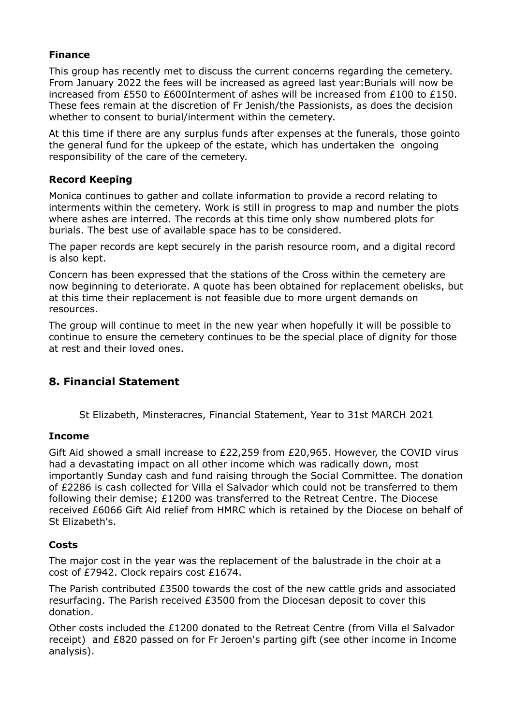### **Finance**

This group has recently met to discuss the current concerns regarding the cemetery. From January 2022 the fees will be increased as agreed last year:Burials will now be increased from £550 to £600Interment of ashes will be increased from £100 to £150. These fees remain at the discretion of Fr Jenish/the Passionists, as does the decision whether to consent to burial/interment within the cemetery.

At this time if there are any surplus funds after expenses at the funerals, those gointo the general fund for the upkeep of the estate, which has undertaken the ongoing responsibility of the care of the cemetery.

#### **Record Keeping**

Monica continues to gather and collate information to provide a record relating to interments within the cemetery. Work is still in progress to map and number the plots where ashes are interred. The records at this time only show numbered plots for burials. The best use of available space has to be considered.

The paper records are kept securely in the parish resource room, and a digital record is also kept.

Concern has been expressed that the stations of the Cross within the cemetery are now beginning to deteriorate. A quote has been obtained for replacement obelisks, but at this time their replacement is not feasible due to more urgent demands on resources.

The group will continue to meet in the new year when hopefully it will be possible to continue to ensure the cemetery continues to be the special place of dignity for those at rest and their loved ones.

# **8. Financial Statement**

St Elizabeth, Minsteracres, Financial Statement, Year to 31st MARCH 2021

#### **Income**

Gift Aid showed a small increase to £22,259 from £20,965. However, the COVID virus had a devastating impact on all other income which was radically down, most importantly Sunday cash and fund raising through the Social Committee. The donation of £2286 is cash collected for Villa el Salvador which could not be transferred to them following their demise; £1200 was transferred to the Retreat Centre. The Diocese received £6066 Gift Aid relief from HMRC which is retained by the Diocese on behalf of St Elizabeth's.

#### **Costs**

The major cost in the year was the replacement of the balustrade in the choir at a cost of £7942. Clock repairs cost £1674.

The Parish contributed £3500 towards the cost of the new cattle grids and associated resurfacing. The Parish received £3500 from the Diocesan deposit to cover this donation.

Other costs included the £1200 donated to the Retreat Centre (from Villa el Salvador receipt) and £820 passed on for Fr Jeroen's parting gift (see other income in Income analysis).